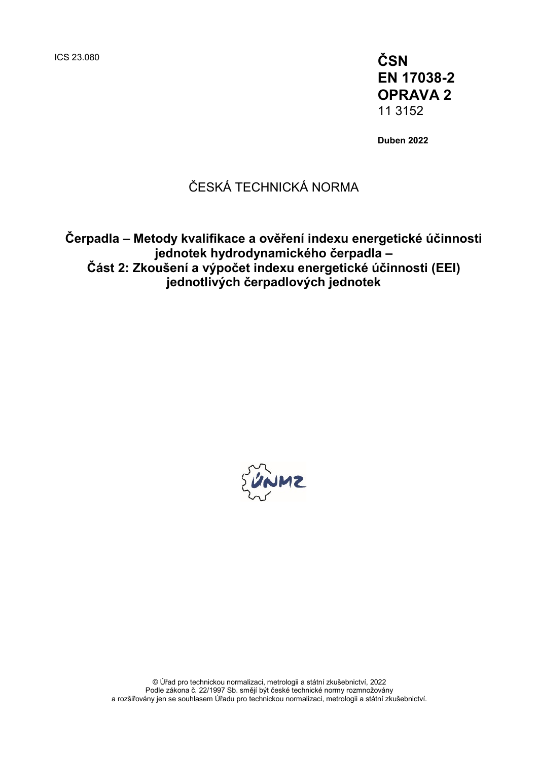ICS 23.080 **ČSN EN 17038-2 OPRAVA 2** 11 3152

**Duben 2022**

# ČESKÁ TECHNICKÁ NORMA

**Čerpadla – Metody kvalifikace a ověření indexu energetické účinnosti jednotek hydrodynamického čerpadla – Část 2: Zkoušení a výpočet indexu energetické účinnosti (EEI) jednotlivých čerpadlových jednotek**

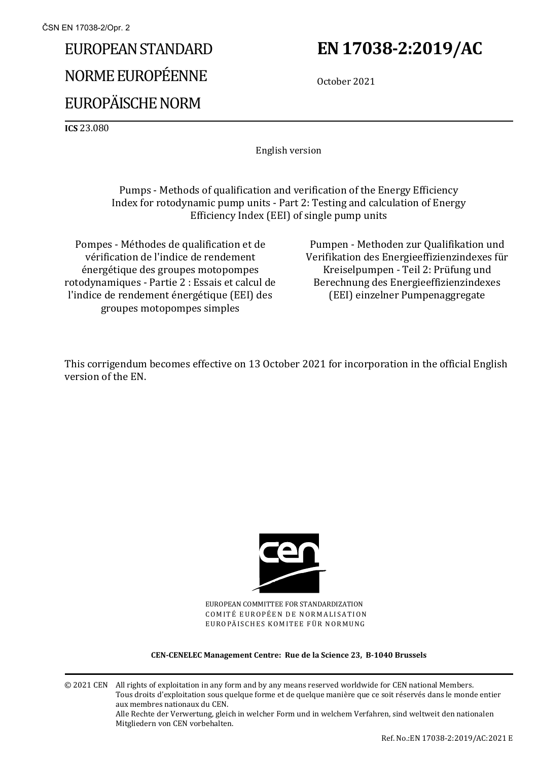# EUROPEAN STANDARD NORME EUROPÉENNE EUROPÄISCHE NORM

# **EN 17038-2:2019/AC**

October 2021

**ICS** 23.080

English version

Pumps - Methods of qualification and verification of the Energy Efficiency Index for rotodynamic pump units - Part 2: Testing and calculation of Energy Efficiency Index (EEI) of single pump units

Pompes - Méthodes de qualification et de vérification de l'indice de rendement énergétique des groupes motopompes rotodynamiques - Partie 2 : Essais et calcul de l'indice de rendement énergétique (EEI) des groupes motopompes simples

Pumpen - Methoden zur Qualifikation und Verifikation des Energieeffizienzindexes für Kreiselpumpen - Teil 2: Prüfung und Berechnung des Energieeffizienzindexes (EEI) einzelner Pumpenaggregate

This corrigendum becomes effective on 13 October 2021 for incorporation in the official English version of the EN.



EUROPEAN COMMITTEE FOR STANDARDIZATION COMITÉ EUROPÉEN DE NORMALISATION EUROPÄISCHES KOMITEE FÜR NORMUNG

#### **CEN-CENELEC Management Centre: Rue de la Science 23, B-1040 Brussels**

© 2021 CEN All rights of exploitation in any form and by any means reserved worldwide for CEN national Members. Tous droits d'exploitation sous quelque forme et de quelque manière que ce soit réservés dans le monde entier aux membres nationaux du CEN. Alle Rechte der Verwertung, gleich in welcher Form und in welchem Verfahren, sind weltweit den nationalen Mitgliedern von CEN vorbehalten.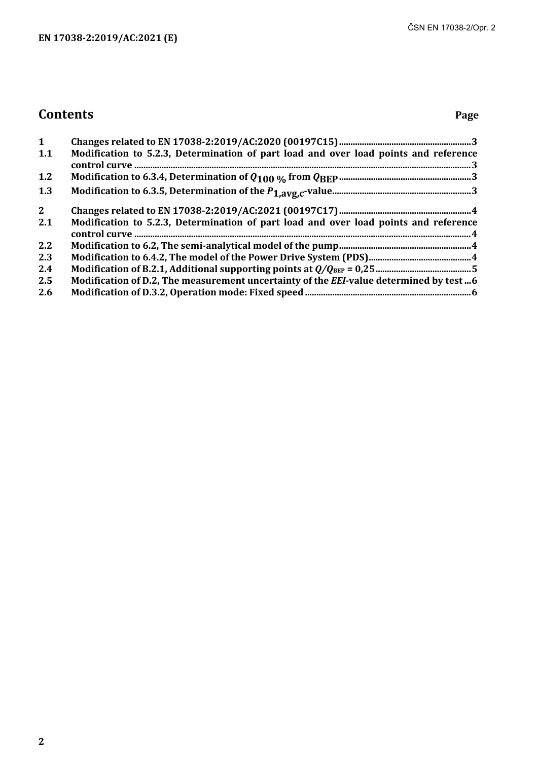# **Contents Page**

| 1           |                                                                                         |
|-------------|-----------------------------------------------------------------------------------------|
| 1.1         | Modification to 5.2.3, Determination of part load and over load points and reference    |
| 1.2         |                                                                                         |
| 1.3         |                                                                                         |
| $2^{\circ}$ |                                                                                         |
| 2.1         | Modification to 5.2.3, Determination of part load and over load points and reference    |
| 2.2         |                                                                                         |
| 2.3         |                                                                                         |
| 2.4         |                                                                                         |
| 2.5         | Modification of D.2, The measurement uncertainty of the EEI-value determined by test  6 |
| 2.6         |                                                                                         |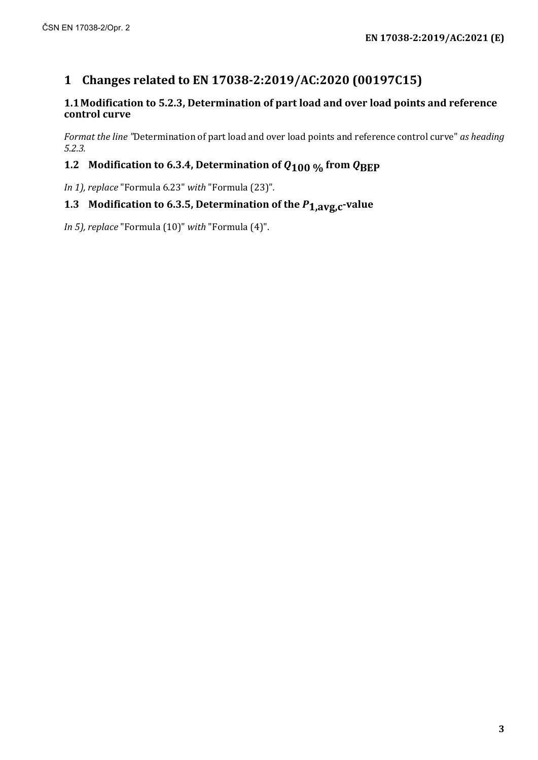# **1 Changes related to EN 17038-2:2019/AC:2020 (00197C15)**

#### **1.1Modification to 5.2.3, Determination of part load and over load points and reference control curve**

*Format the line "*Determination of part load and over load points and reference control curve" *as heading 5.2.3.*

#### **1.2 Modification to 6.3.4, Determination of**  $Q_{100}$  **% from**  $Q_{\text{BEP}}$

*In 1), replace* "Formula 6.23" *with* "Formula (23)"*.*

#### **1.3 Modification to 6.3.5, Determination of the** *P***1,avg,c-value**

*In 5), replace* "Formula (10)" *with* "Formula (4)".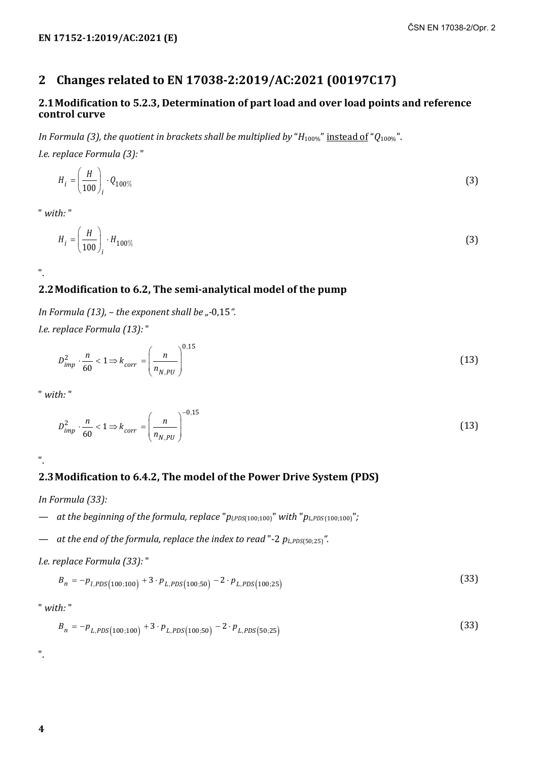## **2 Changes related to EN 17038-2:2019/AC:2021 (00197C17)**

#### **2.1Modification to 5.2.3, Determination of part load and over load points and reference control curve**

*In Formula* (3), the quotient in brackets shall be multiplied by " $H_{100\%}$ " instead of " $Q_{100\%}$ ".

*I.e. replace Formula (3):* "

$$
H_i = \left(\frac{H}{100}\right)_i \cdot Q_{100\%} \tag{3}
$$

" *with:* "

".

$$
H_i = \left(\frac{H}{100}\right)_i \cdot H_{100\%} \tag{3}
$$

### **2.2Modification to 6.2, The semi-analytical model of the pump**

*In Formula (13), - the exponent shall be "-0,15".* 

*I.e. replace Formula (13):* "

$$
D_{imp}^2 \cdot \frac{n}{60} < 1 \Rightarrow k_{corr} = \left(\frac{n}{n_{N,PU}}\right)^{0,15} \tag{13}
$$

" *with:* "

$$
D_{imp}^2 \cdot \frac{n}{60} < 1 \Rightarrow k_{corr} = \left(\frac{n}{n_{N,PU}}\right)^{-0.15} \tag{13}
$$

".

## **2.3Modification to 6.4.2, The model of the Power Drive System (PDS)**

*In Formula (33):*

*— at the beginning of the formula, replace* "*pl,PDS*(100;100)" *with* "*pL,PDS* (100;100)"*;*

*— at the end of the formula, replace the index to read* "-2 *pL,PDS*(50;25)*".*

*I.e. replace Formula (33):* "

$$
B_n = -p_{I, PDS(100; 100)} + 3 \cdot p_{L, PDS(100; 50)} - 2 \cdot p_{L, PDS(100; 25)} \tag{33}
$$

" *with:* "

$$
B_n = -p_{L, PDS(100; 100)} + 3 \cdot p_{L, PDS(100; 50)} - 2 \cdot p_{L, PDS(50; 25)}
$$
\n(33)

".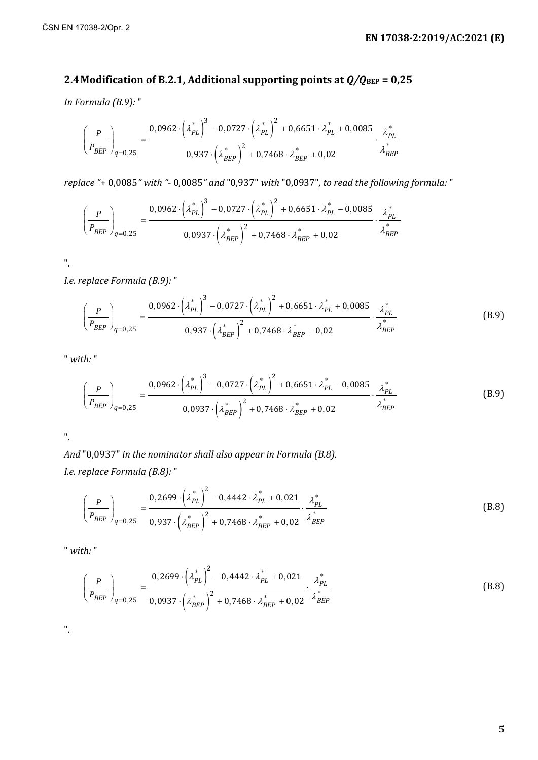#### **2.4 Modification of B.2.1, Additional supporting points at**  $Q/Q_{\text{BEP}} = 0.25$

*In Formula (B.9):* "

$$
\left(\frac{P}{P_{BEP}}\right)_{q=0,25} = \frac{0,0962 \cdot \left(\lambda_{PL}^*\right)^3 - 0,0727 \cdot \left(\lambda_{PL}^*\right)^2 + 0,6651 \cdot \lambda_{PL}^* + 0,0085}{0,937 \cdot \left(\lambda_{BEP}^*\right)^2 + 0,7468 \cdot \lambda_{BEP}^* + 0,02} \cdot \frac{\lambda_{PL}^*}{\lambda_{BEP}^*}
$$

*replace "*+ 0,0085*" with "*- 0,0085*" and* "0,937" *with* "0,0937"*, to read the following formula:* "

$$
\left(\frac{P}{P_{BEP}}\right)_{q=0,25} = \frac{0,0962 \cdot \left(\lambda_{PL}^*\right)^3 - 0,0727 \cdot \left(\lambda_{PL}^*\right)^2 + 0,6651 \cdot \lambda_{PL}^* - 0,0085}{0,0937 \cdot \left(\lambda_{BEP}^*\right)^2 + 0,7468 \cdot \lambda_{BEP}^* + 0,02} \cdot \frac{\lambda_{PL}^*}{\lambda_{BEP}^*}
$$

".

*I.e. replace Formula (B.9):* "

$$
\left(\frac{P}{P_{BEP}}\right)_{q=0,25} = \frac{0.0962 \cdot \left(\lambda_{PL}^{*}\right)^3 - 0.0727 \cdot \left(\lambda_{PL}^{*}\right)^2 + 0.6651 \cdot \lambda_{PL}^{*} + 0.0085}{0.937 \cdot \left(\lambda_{BEP}^{*}\right)^2 + 0.7468 \cdot \lambda_{BEP}^{*} + 0.02} \cdot \frac{\lambda_{PL}^{*}}{\lambda_{BEP}^{*}}
$$
\n(B.9)

" *with:* "

$$
\left(\frac{P}{P_{BEP}}\right)_{q=0,25} = \frac{0,0962 \cdot \left(\lambda_{PL}^*\right)^3 - 0,0727 \cdot \left(\lambda_{PL}^*\right)^2 + 0,6651 \cdot \lambda_{PL}^* - 0,0085}{0,0937 \cdot \left(\lambda_{BEP}^*\right)^2 + 0,7468 \cdot \lambda_{BEP}^* + 0,02} \cdot \frac{\lambda_{BE}^*}{\lambda_{BEP}^*}
$$
(B.9)

".

*And* "0,0937" *in the nominator shall also appear in Formula (B.8). I.e. replace Formula (B.8):* "

$$
\left(\frac{P}{P_{BEP}}\right)_{q=0,25} = \frac{0,2699 \cdot \left(\lambda_{PL}^{*}\right)^{2} - 0,4442 \cdot \lambda_{PL}^{*} + 0,021}{0,937 \cdot \left(\lambda_{BEP}^{*}\right)^{2} + 0,7468 \cdot \lambda_{BEP}^{*} + 0,02} \cdot \frac{\lambda_{PL}^{*}}{\lambda_{BEP}^{*}}
$$
\n(B.8)

" *with:* "

$$
\left(\frac{P}{P_{BEP}}\right)_{q=0,25} = \frac{0,2699 \cdot \left(\lambda_{PL}^{*}\right)^{2} - 0,4442 \cdot \lambda_{PL}^{*} + 0,021}{0,0937 \cdot \left(\lambda_{BEP}^{*}\right)^{2} + 0,7468 \cdot \lambda_{BEP}^{*} + 0,02} \cdot \frac{\lambda_{PL}^{*}}{\lambda_{BEP}^{*}}
$$
\n(B.8)

".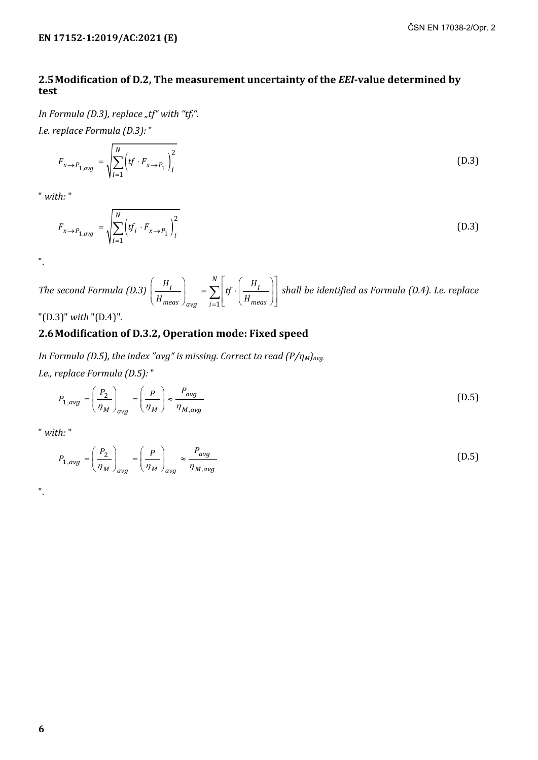#### **2.5Modification of D.2, The measurement uncertainty of the** *EEI***-value determined by test**

*In Formula (D.3), replace "tf" with "tfi". I.e. replace Formula (D.3):* "

$$
F_{x \to P_{1,avg}} = \sqrt{\sum_{i=1}^{N} \left( tf \cdot F_{x \to P_1} \right)_i^2}
$$
 (D.3)

" *with:* "

$$
F_{x \to P_{1,avg}} = \sqrt{\sum_{i=1}^{N} \left( tf_i \cdot F_{x \to P_1} \right)_i^2}
$$
 (D.3)

".

*The second Formula (D.3)* =  $(H_{i})$   $\begin{array}{c|c} N & (H_{i}) \end{array}$  $\left(\frac{H_i}{H_{meas}}\right)_{avg} = \sum_{i=1}^{N} \left[f \cdot \left(\frac{H_i}{H_{meas}}\right)\right]$ *N*  $i \mid \quad -\nabla |_{\,H}$ *meas*  $\int_{avg}$  *i*=1 $\lfloor$   $\lfloor$   $\lfloor$  *II meas*  $H_i$   $\sum_{n=1}^{N} f_n$   $H_i$  $\left| \frac{H_{\text{meas}}}{H_{\text{meas}}} \right|$  =  $\sum_{i=1}^{n} |f \cdot \left| \frac{H_{\text{meas}}}{H_{\text{meas}}} \right|$  shall be identified as Formula (D.4). I.e. replace

"(D.3)" *with* "(D.4)"*.*

#### **2.6Modification of D.3.2, Operation mode: Fixed speed**

*In Formula (D.5), the index "avg" is missing. Correct to read (P/* $\eta_M$ *)<sub>avg.</sub> I.e., replace Formula (D.5):* "

$$
P_{1,avg} = \left(\frac{P_2}{\eta_M}\right)_{avg} = \left(\frac{P}{\eta_M}\right) \approx \frac{P_{avg}}{\eta_{M,avg}}
$$
(D.5)

" *with:* "

$$
P_{1,avg} = \left(\frac{P_2}{\eta_M}\right)_{avg} = \left(\frac{P}{\eta_M}\right)_{avg} \approx \frac{P_{avg}}{\eta_{M,avg}}
$$
(D.5)

".